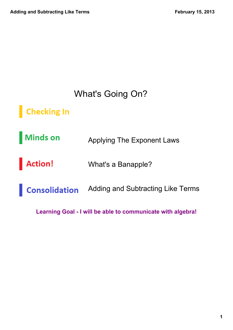### What's Going On?

#### **Checking In**

**Minds on** Applying The Exponent Laws

Action! What's a Banapple?

**Consolidation** Adding and Subtracting Like Terms

**Learning Goal I will be able to communicate with algebra!**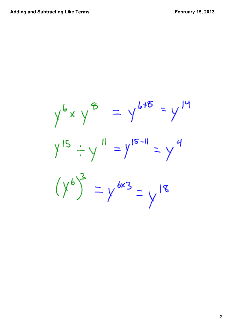$$
y^{6} \times y^{8} = y^{6+8} = y^{14}
$$
  
\n $y^{15} \div y^{11} = y^{15-11} = y^{4}$   
\n $(y^{6})^{3} = y^{6\times3} = y^{18}$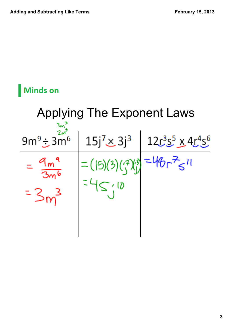### **Minds on**

# Applying The Exponent Laws $\frac{2m}{3}$  $\frac{15j^{7} \times 3j^{3}}{12r^{3}s^{5} \times 4r^{4}s^{6}}$  $9m^9 \div 3m^6$  $=48r^{7}$   $\leq$   $11$  $\binom{7}{1}$  $\equiv$  (15)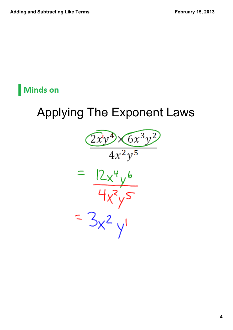### **Minds on**

### Applying The Exponent Laws

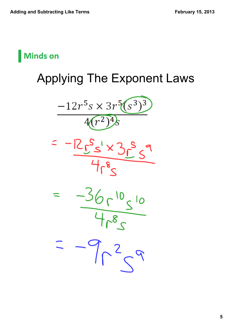

# Applying The Exponent Laws

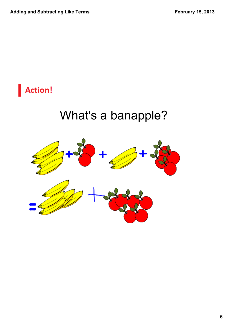

## What's a banapple?

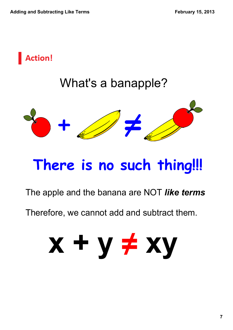

# **There is no such thing!!!**

#### The apple and the banana are NOT *like terms*

Therefore, we cannot add and subtract them.

# **x + y xy ≠**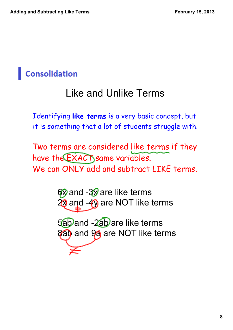### Like and Unlike Terms

Identifying **like terms** is a very basic concept, but it is something that a lot of students struggle with.

Two terms are considered like terms if they have the EXACT same variables. We can ONLY add and subtract LIKE terms.

> 6x and -3x are like terms 28 and -49 are NOT like terms

5ab and -2ab are like terms 8ab and 94 are NOT like terms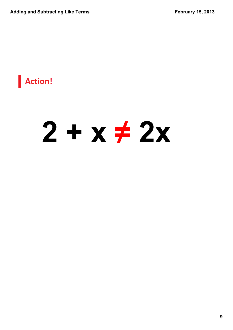

# $2 + x \neq 2x$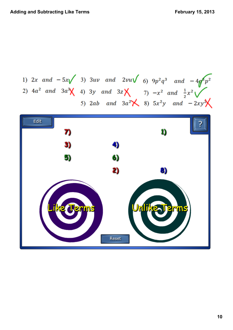1) 2x and 
$$
-5x\sqrt{3}
$$
 3) 3uv and 2vu $\sqrt{6}$  9 $p^2q^3$  and  $-4q^6p^2$   
2) 4a<sup>2</sup> and 3a<sup>3</sup> $\sqrt{4}$  3y and 3z $\sqrt{7}$   $-x^2$  and  $\frac{1}{2}x^2\sqrt{7}$   
5) 2ab and 3a<sup>2</sup> $\sqrt{8}$  5x<sup>2</sup>y and -2xy<sup>3</sup> $\sqrt{8}$ 

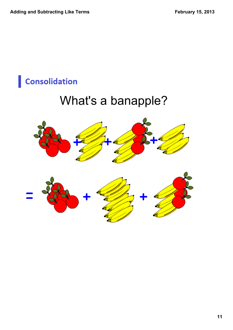### What's a banapple?

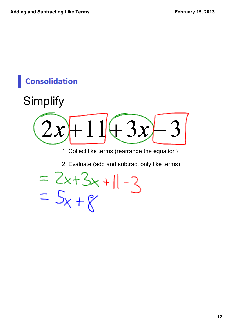

1. Collect like terms (rearrange the equation)

2. Evaluate (add and subtract only like terms)

=  $2x+3x+11-3$ <br>=  $5x+8$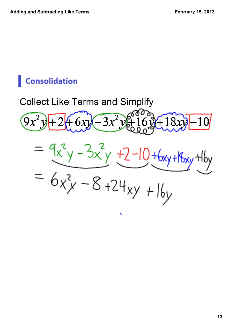### Collect Like Terms and Simplify





 $\blacktriangleright$